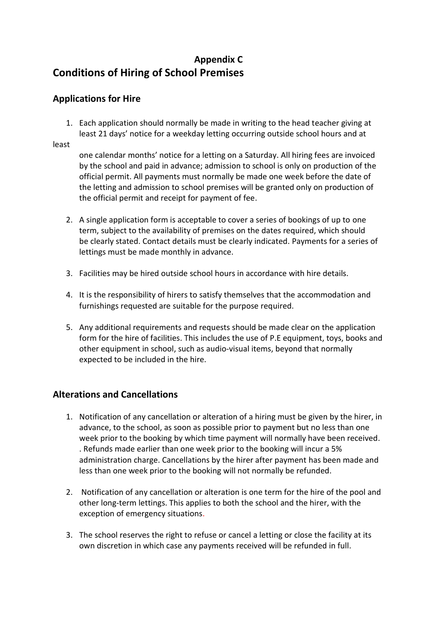#### **Appendix C Conditions of Hiring of School Premises**

#### **Applications for Hire**

1. Each application should normally be made in writing to the head teacher giving at least 21 days' notice for a weekday letting occurring outside school hours and at

least

one calendar months' notice for a letting on a Saturday. All hiring fees are invoiced by the school and paid in advance; admission to school is only on production of the official permit. All payments must normally be made one week before the date of the letting and admission to school premises will be granted only on production of the official permit and receipt for payment of fee.

- 2. A single application form is acceptable to cover a series of bookings of up to one term, subject to the availability of premises on the dates required, which should be clearly stated. Contact details must be clearly indicated. Payments for a series of lettings must be made monthly in advance.
- 3. Facilities may be hired outside school hours in accordance with hire details.
- 4. It is the responsibility of hirers to satisfy themselves that the accommodation and furnishings requested are suitable for the purpose required.
- 5. Any additional requirements and requests should be made clear on the application form for the hire of facilities. This includes the use of P.E equipment, toys, books and other equipment in school, such as audio-visual items, beyond that normally expected to be included in the hire.

#### **Alterations and Cancellations**

- 1. Notification of any cancellation or alteration of a hiring must be given by the hirer, in advance, to the school, as soon as possible prior to payment but no less than one week prior to the booking by which time payment will normally have been received. . Refunds made earlier than one week prior to the booking will incur a 5% administration charge. Cancellations by the hirer after payment has been made and less than one week prior to the booking will not normally be refunded.
- 2. Notification of any cancellation or alteration is one term for the hire of the pool and other long-term lettings. This applies to both the school and the hirer, with the exception of emergency situations.
- 3. The school reserves the right to refuse or cancel a letting or close the facility at its own discretion in which case any payments received will be refunded in full.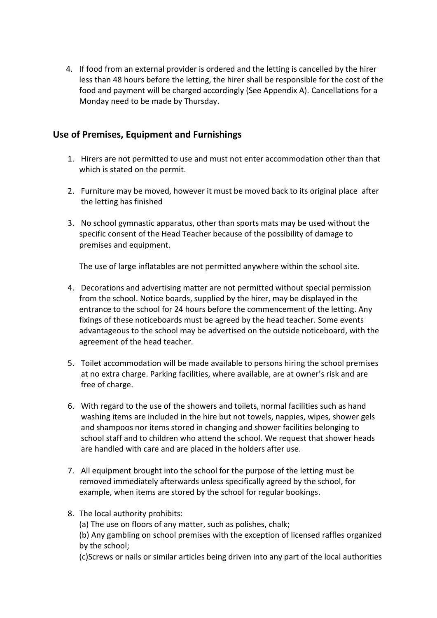4. If food from an external provider is ordered and the letting is cancelled by the hirer less than 48 hours before the letting, the hirer shall be responsible for the cost of the food and payment will be charged accordingly (See Appendix A). Cancellations for a Monday need to be made by Thursday.

#### **Use of Premises, Equipment and Furnishings**

- 1. Hirers are not permitted to use and must not enter accommodation other than that which is stated on the permit.
- 2. Furniture may be moved, however it must be moved back to its original place after the letting has finished
- 3. No school gymnastic apparatus, other than sports mats may be used without the specific consent of the Head Teacher because of the possibility of damage to premises and equipment.

The use of large inflatables are not permitted anywhere within the school site.

- 4. Decorations and advertising matter are not permitted without special permission from the school. Notice boards, supplied by the hirer, may be displayed in the entrance to the school for 24 hours before the commencement of the letting. Any fixings of these noticeboards must be agreed by the head teacher. Some events advantageous to the school may be advertised on the outside noticeboard, with the agreement of the head teacher.
- 5. Toilet accommodation will be made available to persons hiring the school premises at no extra charge. Parking facilities, where available, are at owner's risk and are free of charge.
- 6. With regard to the use of the showers and toilets, normal facilities such as hand washing items are included in the hire but not towels, nappies, wipes, shower gels and shampoos nor items stored in changing and shower facilities belonging to school staff and to children who attend the school. We request that shower heads are handled with care and are placed in the holders after use.
- 7. All equipment brought into the school for the purpose of the letting must be removed immediately afterwards unless specifically agreed by the school, for example, when items are stored by the school for regular bookings.
- 8. The local authority prohibits:
	- (a) The use on floors of any matter, such as polishes, chalk;
	- (b) Any gambling on school premises with the exception of licensed raffles organized by the school;
	- (c)Screws or nails or similar articles being driven into any part of the local authorities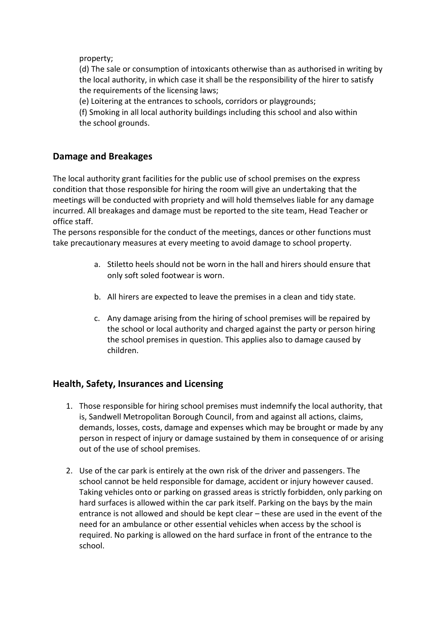property;

(d) The sale or consumption of intoxicants otherwise than as authorised in writing by the local authority, in which case it shall be the responsibility of the hirer to satisfy the requirements of the licensing laws;

(e) Loitering at the entrances to schools, corridors or playgrounds;

(f) Smoking in all local authority buildings including this school and also within the school grounds.

#### **Damage and Breakages**

The local authority grant facilities for the public use of school premises on the express condition that those responsible for hiring the room will give an undertaking that the meetings will be conducted with propriety and will hold themselves liable for any damage incurred. All breakages and damage must be reported to the site team, Head Teacher or office staff.

The persons responsible for the conduct of the meetings, dances or other functions must take precautionary measures at every meeting to avoid damage to school property.

- a. Stiletto heels should not be worn in the hall and hirers should ensure that only soft soled footwear is worn.
- b. All hirers are expected to leave the premises in a clean and tidy state.
- c. Any damage arising from the hiring of school premises will be repaired by the school or local authority and charged against the party or person hiring the school premises in question. This applies also to damage caused by children.

#### **Health, Safety, Insurances and Licensing**

- 1. Those responsible for hiring school premises must indemnify the local authority, that is, Sandwell Metropolitan Borough Council, from and against all actions, claims, demands, losses, costs, damage and expenses which may be brought or made by any person in respect of injury or damage sustained by them in consequence of or arising out of the use of school premises.
- 2. Use of the car park is entirely at the own risk of the driver and passengers. The school cannot be held responsible for damage, accident or injury however caused. Taking vehicles onto or parking on grassed areas is strictly forbidden, only parking on hard surfaces is allowed within the car park itself. Parking on the bays by the main entrance is not allowed and should be kept clear – these are used in the event of the need for an ambulance or other essential vehicles when access by the school is required. No parking is allowed on the hard surface in front of the entrance to the school.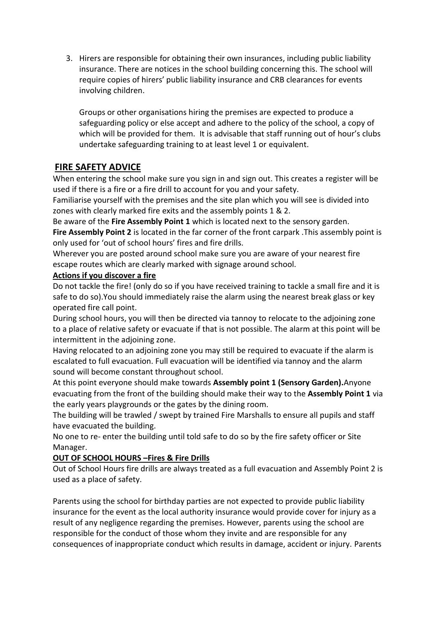3. Hirers are responsible for obtaining their own insurances, including public liability insurance. There are notices in the school building concerning this. The school will require copies of hirers' public liability insurance and CRB clearances for events involving children.

Groups or other organisations hiring the premises are expected to produce a safeguarding policy or else accept and adhere to the policy of the school, a copy of which will be provided for them. It is advisable that staff running out of hour's clubs undertake safeguarding training to at least level 1 or equivalent.

#### **FIRE SAFETY ADVICE**

When entering the school make sure you sign in and sign out. This creates a register will be used if there is a fire or a fire drill to account for you and your safety.

Familiarise yourself with the premises and the site plan which you will see is divided into zones with clearly marked fire exits and the assembly points 1 & 2.

Be aware of the **Fire Assembly Point 1** which is located next to the sensory garden.

**Fire Assembly Point 2** is located in the far corner of the front carpark .This assembly point is only used for 'out of school hours' fires and fire drills.

Wherever you are posted around school make sure you are aware of your nearest fire escape routes which are clearly marked with signage around school.

#### **Actions if you discover a fire**

Do not tackle the fire! (only do so if you have received training to tackle a small fire and it is safe to do so).You should immediately raise the alarm using the nearest break glass or key operated fire call point.

During school hours, you will then be directed via tannoy to relocate to the adjoining zone to a place of relative safety or evacuate if that is not possible. The alarm at this point will be intermittent in the adjoining zone.

Having relocated to an adjoining zone you may still be required to evacuate if the alarm is escalated to full evacuation. Full evacuation will be identified via tannoy and the alarm sound will become constant throughout school.

At this point everyone should make towards **Assembly point 1 (Sensory Garden).**Anyone evacuating from the front of the building should make their way to the **Assembly Point 1** via the early years playgrounds or the gates by the dining room.

The building will be trawled / swept by trained Fire Marshalls to ensure all pupils and staff have evacuated the building.

No one to re- enter the building until told safe to do so by the fire safety officer or Site Manager.

#### **OUT OF SCHOOL HOURS –Fires & Fire Drills**

Out of School Hours fire drills are always treated as a full evacuation and Assembly Point 2 is used as a place of safety.

Parents using the school for birthday parties are not expected to provide public liability insurance for the event as the local authority insurance would provide cover for injury as a result of any negligence regarding the premises. However, parents using the school are responsible for the conduct of those whom they invite and are responsible for any consequences of inappropriate conduct which results in damage, accident or injury. Parents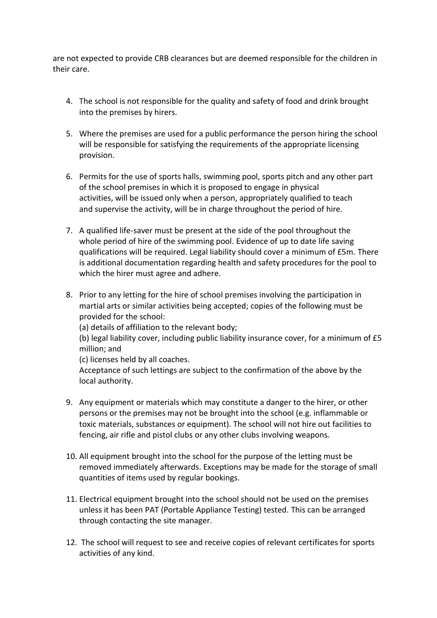are not expected to provide CRB clearances but are deemed responsible for the children in their care.

- 4. The school is not responsible for the quality and safety of food and drink brought into the premises by hirers.
- 5. Where the premises are used for a public performance the person hiring the school will be responsible for satisfying the requirements of the appropriate licensing provision.
- 6. Permits for the use of sports halls, swimming pool, sports pitch and any other part of the school premises in which it is proposed to engage in physical activities, will be issued only when a person, appropriately qualified to teach and supervise the activity, will be in charge throughout the period of hire.
- 7. A qualified life-saver must be present at the side of the pool throughout the whole period of hire of the swimming pool. Evidence of up to date life saving qualifications will be required. Legal liability should cover a minimum of £5m. There is additional documentation regarding health and safety procedures for the pool to which the hirer must agree and adhere.
- 8. Prior to any letting for the hire of school premises involving the participation in martial arts or similar activities being accepted; copies of the following must be provided for the school:

(a) details of affiliation to the relevant body;

(b) legal liability cover, including public liability insurance cover, for a minimum of £5 million; and

(c) licenses held by all coaches.

Acceptance of such lettings are subject to the confirmation of the above by the local authority.

- 9. Any equipment or materials which may constitute a danger to the hirer, or other persons or the premises may not be brought into the school (e.g. inflammable or toxic materials, substances or equipment). The school will not hire out facilities to fencing, air rifle and pistol clubs or any other clubs involving weapons.
- 10. All equipment brought into the school for the purpose of the letting must be removed immediately afterwards. Exceptions may be made for the storage of small quantities of items used by regular bookings.
- 11. Electrical equipment brought into the school should not be used on the premises unless it has been PAT (Portable Appliance Testing) tested. This can be arranged through contacting the site manager.
- 12. The school will request to see and receive copies of relevant certificates for sports activities of any kind.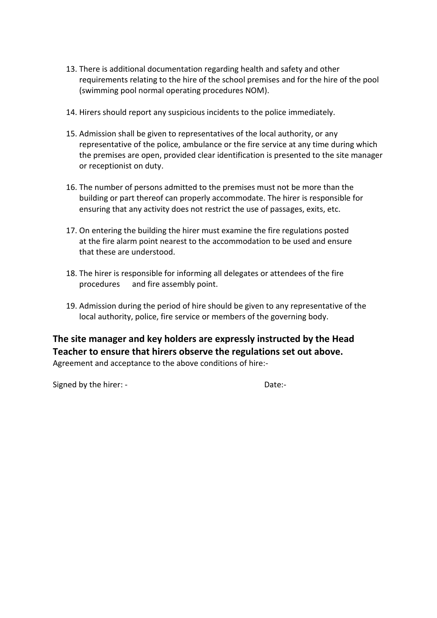- 13. There is additional documentation regarding health and safety and other requirements relating to the hire of the school premises and for the hire of the pool (swimming pool normal operating procedures NOM).
- 14. Hirers should report any suspicious incidents to the police immediately.
- 15. Admission shall be given to representatives of the local authority, or any representative of the police, ambulance or the fire service at any time during which the premises are open, provided clear identification is presented to the site manager or receptionist on duty.
- 16. The number of persons admitted to the premises must not be more than the building or part thereof can properly accommodate. The hirer is responsible for ensuring that any activity does not restrict the use of passages, exits, etc.
- 17. On entering the building the hirer must examine the fire regulations posted at the fire alarm point nearest to the accommodation to be used and ensure that these are understood.
- 18. The hirer is responsible for informing all delegates or attendees of the fire procedures and fire assembly point.
- 19. Admission during the period of hire should be given to any representative of the local authority, police, fire service or members of the governing body.

**The site manager and key holders are expressly instructed by the Head Teacher to ensure that hirers observe the regulations set out above.** Agreement and acceptance to the above conditions of hire:-

Signed by the hirer: - The Date:-